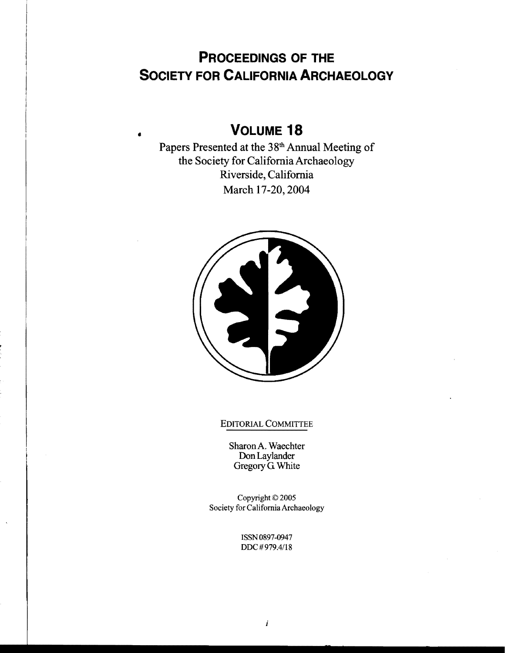# **PROCEEDINGS OF THE SOCIETY FOR CALIFORNIA ARCHAEOLOGY**

# **VOLUME 18** •

Papers Presented at the 38<sup>th</sup> Annual Meeting of the Society for California Archaeology Riverside, California March 17-20,2004



# EDITORIAL COMMITTEE

SharonA. Waechter Don Laylander Gregory G White

Copyright © 2005 Society for California Archaeology

> ISSN 0897-0947 DDC #979.4/18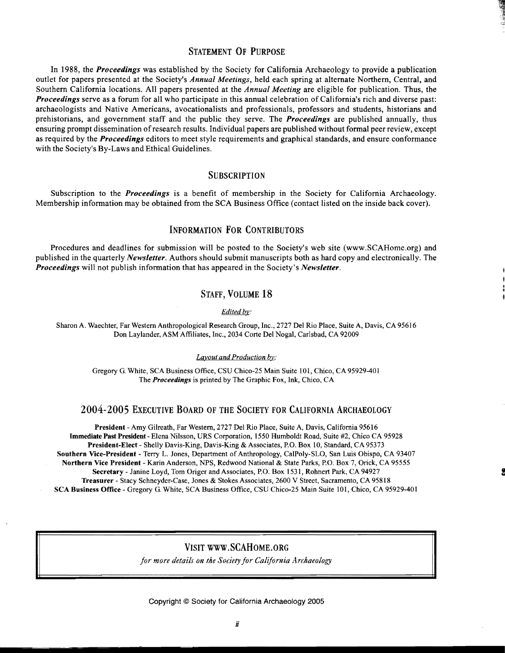### STATEMENT OF PURPOSE

In 1988, the *Proceedings* was established by the Society for California Archaeology to provide a publication outlet for papers presented at the Society's *Annual Meetings,* held each spring at alternate Northern, Central, and Southern California locations. All papers presented at the *Annual Meeting* are eligible for publication. Thus, the *Proceedings* serve as a forum for all who participate in this annual celebration of California's rich and diverse past: archaeologists and Native Americans, avocationalists and professionals, professors and students, historians and prehistorians, and government staff and the public they serve. The *Proceedings* are published annually, thus ensuring prompt dissemination ofresearch results. Individual papers are published without formal peer review, except as required by the *Proceedings* editors to meet style requirements and graphical standards, and ensure conformance with the Society's By-Laws and Ethical Guidelines.

### **SUBSCRIPTION**

Subscription to the *Proceedings* is a benefit of membership in the Society for California Archaeology. Membership information may be obtained from the SCA Business Office (contact listed on the inside back cover).

# INFORMATION FOR CONTRIBUTORS

Procedures and deadlines for submission will be posted to the Society's web site (www.SCAHome.org) and published in the quarterly *Newsletter.* Authors should submit manuscripts both as hard copy and electronically. The *Proceedings* will not publish information that has appeared in the Society's *Newsletter.* 

# STAFF, VOLUME 18

*Edited by:* 

Sharon A. Waechter, Far Western Anthropological Research Group, Inc., 2727 Del Rio Place, Suite A, Davis, CA 95616 Don Laylander, ASM Affiliates, Inc., 2034 Corte Del Nogal, Carlsbad, CA 92009

*Layout and Production by:* 

Gregory G. White, SCA Business Office, CSU Chico-25 Main Suite 101, Chico, CA 95929-401 The *Proceedings* is printed by The Graphic Fox, Ink, Chico, CA

#### 2004-2005 EXECUTIVE BOARD OF THE SOCIETY FOR CALIFORNIA ARCHAEOLOGY

President - Amy Gilreath, Far Western, 2727 Del Rio Place, Suite A, Davis, California 95616 Immediate Past President - Elena Nilsson, URS Corporation, 1550 Humboldt Road, Suite #2, Chico CA 95928 President-Elect - Shelly Davis-King, Davis-King & Associates, P.O. Box 10, Standard, CA 95373 Southern Vice-President - Terry L. Jones, Department of Anthropology, CaIPoly-SLO, San Luis Obispo, CA 93407 Northern Vice President - Karin Anderson, NPS, Redwood National & State Parks, P.O. Box 7, Orick, CA 95555 Secretary - Janine Loyd, Tom Origer and Associates, P.O. Box 1531, Rohnert Park, CA 94927 Treasurer - Stacy Schneyder-Case, Jones & Stokes Associates, 2600 V Street, Sacramento, CA 95818 SCA Business Office Gregory G. White, SCA Business Office, CSU Chico-25 Main Suite 101, Chico, CA 95929-401

# VISIT www.SCAHoME.ORG

*for more details on the Society for California Archaeology* 

Copyright © Society for California Archaeology 2005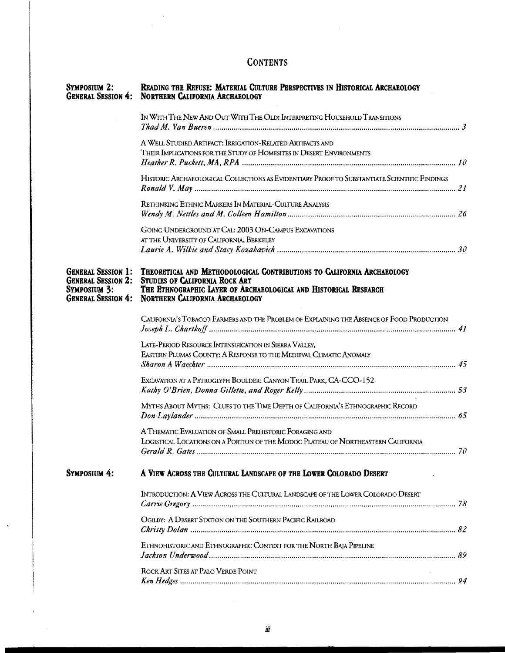#### **CONTENTS**

 $\bar{\beta}$ 

| <b>SYMPOSIUM 2:</b>                                                           | READING THE REFUSE: MATERIAL CULTURE PERSPECTIVES IN HISTORICAL ARCHAEOLOGY<br><b>GENERAL SESSION 4: NORTHERN CALIFORNIA ARCHAEOLOGY</b>                                                                                                  |     |
|-------------------------------------------------------------------------------|-------------------------------------------------------------------------------------------------------------------------------------------------------------------------------------------------------------------------------------------|-----|
|                                                                               | IN WITH THE NEW AND OUT WITH THE OLD: INTERPRETING HOUSEHOLD TRANSITIONS                                                                                                                                                                  |     |
|                                                                               | A WELL STUDIED ARTIFACT: IRRIGATION-RELATED ARTIFACTS AND                                                                                                                                                                                 |     |
|                                                                               | THEIR IMPLICATIONS FOR THE STUDY OF HOMESITES IN DESERT ENVIRONMENTS                                                                                                                                                                      |     |
|                                                                               |                                                                                                                                                                                                                                           |     |
|                                                                               | HISTORIC ARCHAEOLOGICAL COLLECTIONS AS EVIDENTIARY PROOF TO SUBSTANTIATE SCIENTIFIC FINDINGS                                                                                                                                              |     |
|                                                                               | RETHINKING ETHNIC MARKERS IN MATERIAL-CULTURE ANALYSIS                                                                                                                                                                                    |     |
|                                                                               |                                                                                                                                                                                                                                           |     |
|                                                                               |                                                                                                                                                                                                                                           |     |
|                                                                               | GOING UNDERGROUND AT CAL: 2003 ON-CAMPUS EXCAVATIONS<br>AT THE UNIVERSITY OF CALIFORNIA, BERKELEY                                                                                                                                         |     |
|                                                                               |                                                                                                                                                                                                                                           |     |
|                                                                               |                                                                                                                                                                                                                                           |     |
| <b>GENERAL SESSION 1:</b><br><b>GENERAL SESSION 2:</b><br><b>SYMPOSIUM 3:</b> | THEORETICAL AND METHODOLOGICAL CONTRIBUTIONS TO CALIFORNIA ARCHAEOLOGY<br>STUDIES OF CALIFORNIA ROCK ART<br>THE ETHNOGRAPHIC LAYER OF ARCHAEOLOGICAL AND HISTORICAL RESEARCH<br><b>GENERAL SESSION 4: NORTHERN CALIFORNIA ARCHAEOLOGY</b> |     |
|                                                                               | CALIFORNIA'S TOBACCO FARMERS AND THE PROBLEM OF EXPLAINING THE ABSENCE OF FOOD PRODUCTION                                                                                                                                                 |     |
|                                                                               | LATE-PERIOD RESOURCE INTENSIFICATION IN SIERRA VALLEY,                                                                                                                                                                                    |     |
|                                                                               | EASTERN PLUMAS COUNTY: A RESPONSE TO THE MEDIEVAL CLIMATIC ANOMALY                                                                                                                                                                        |     |
|                                                                               | EXCAVATION AT A PETROGLYPH BOULDER: CANYON TRAIL PARK, CA-CCO-152                                                                                                                                                                         |     |
|                                                                               |                                                                                                                                                                                                                                           |     |
|                                                                               | MYTHS ABOUT MYTHS: CLUES TO THE TIME DEPTH OF CALIFORNIA'S ETHNOGRAPHIC RECORD                                                                                                                                                            |     |
|                                                                               |                                                                                                                                                                                                                                           |     |
|                                                                               | A THEMATIC EVALUATION OF SMALL PREHISTORIC FORAGING AND<br>LOGISTICAL LOCATIONS ON A PORTION OF THE MODOC PLATEAU OF NORTHEASTERN CALIFORNIA<br>Gerald R. Gates                                                                           | 70. |
| SYMPOSIUM 4:                                                                  | A VIEW ACROSS THE CULTURAL LANDSCAPE OF THE LOWER COLORADO DESERT                                                                                                                                                                         |     |
|                                                                               | INTRODUCTION: A VIEW ACROSS THE CULTURAL LANDSCAPE OF THE LOWER COLORADO DESERT                                                                                                                                                           |     |
|                                                                               | OGILBY: A DESERT STATION ON THE SOUTHERN PACIFIC RAILROAD                                                                                                                                                                                 |     |
|                                                                               | ETHNOHISTORIC AND ETHNOGRAPHIC CONTEXT FOR THE NORTH BAJA PIPELINE                                                                                                                                                                        |     |
|                                                                               | ROCK ART SITES AT PALO VERDE POINT                                                                                                                                                                                                        |     |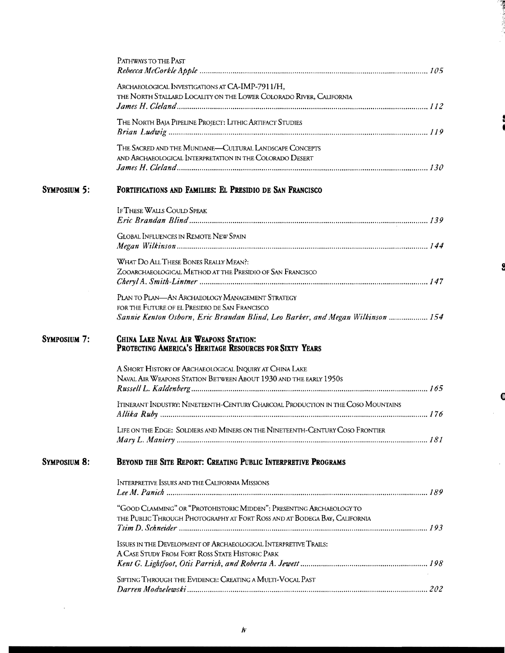|                     | PATHWAYS TO THE PAST                                                                                                                                                                |  |
|---------------------|-------------------------------------------------------------------------------------------------------------------------------------------------------------------------------------|--|
|                     | ARCHAEOLOGICAL INVESTIGATIONS AT CA-IMP-7911/H,<br>THE NORTH STALLARD LOCALITY ON THE LOWER COLORADO RIVER, CALIFORNIA                                                              |  |
|                     | THE NORTH BAJA PIPELINE PROJECT: LITHIC ARTIFACT STUDIES                                                                                                                            |  |
|                     | THE SACRED AND THE MUNDANE-CULTURAL LANDSCAPE CONCEPTS<br>AND ARCHAEOLOGICAL INTERPRETATION IN THE COLORADO DESERT                                                                  |  |
| <b>SYMPOSIUM 5:</b> | FORTIFICATIONS AND FAMILIES: EL PRESIDIO DE SAN FRANCISCO                                                                                                                           |  |
|                     | <b>IF THESE WALLS COULD SPEAK</b>                                                                                                                                                   |  |
|                     | <b>GLOBAL INFLUENCES IN REMOTE NEW SPAIN</b>                                                                                                                                        |  |
|                     | WHAT DO ALL THESE BONES REALLY MEAN?:<br>ZOOARCHAEOLOGICAL METHOD AT THE PRESIDIO OF SAN FRANCISCO                                                                                  |  |
|                     | PLAN TO PLAN—AN ARCHAEOLOGY MANAGEMENT STRATEGY<br>FOR THE FUTURE OF EL PRESIDIO DE SAN FRANCISCO<br>Sannie Kenton Osborn, Eric Brandan Blind, Leo Barker, and Megan Wilkinson  154 |  |
| <b>SYMPOSIUM 7:</b> | CHINA LAKE NAVAL AIR WEAPONS STATION:<br>PROTECTING AMERICA'S HERITAGE RESOURCES FOR SIXTY YEARS                                                                                    |  |
|                     | A SHORT HISTORY OF ARCHAEOLOGICAL INQUIRY AT CHINA LAKE<br>NAVAL AIR WEAPONS STATION BETWEEN ABOUT 1930 AND THE EARLY 1950S                                                         |  |
|                     | ITINERANT INDUSTRY: NINETEENTH-CENTURY CHARCOAL PRODUCTION IN THE COSO MOUNTAINS                                                                                                    |  |
|                     | LIFE ON THE EDGE: SOLDIERS AND MINERS ON THE NINETEENTH-CENTURY COSO FRONTIER                                                                                                       |  |
| <b>SYMPOSIUM 8:</b> | BEYOND THE SITE REPORT: CREATING PUBLIC INTERPRETIVE PROGRAMS                                                                                                                       |  |
|                     | INTERPRETIVE ISSUES AND THE CALIFORNIA MISSIONS                                                                                                                                     |  |
|                     | "GOOD CLAMMING" OR "PROTOHISTORIC MIDDEN": PRESENTING ARCHAEOLOGY TO<br>THE PUBLIC THROUGH PHOTOGRAPHY AT FORT ROSS AND AT BODEGA BAY, CALIFORNIA                                   |  |
|                     | ISSUES IN THE DEVELOPMENT OF ARCHAEOLOGICAL INTERPRETIVE TRAILS:<br>A CASE STUDY FROM FORT ROSS STATE HISTORIC PARK                                                                 |  |
|                     | SIFTING THROUGH THE EVIDENCE: CREATING A MULTI-VOCAL PAST                                                                                                                           |  |

 $\mathcal{L}^{\text{max}}_{\text{max}}$